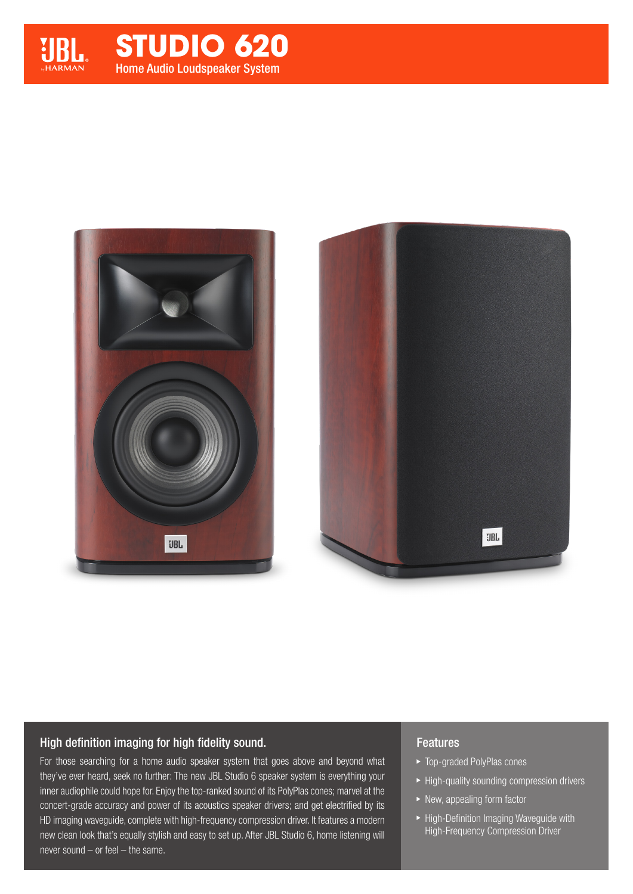

# Home Audio Loudspeaker System **STUDIO 620**





#### High definition imaging for high fidelity sound.

For those searching for a home audio speaker system that goes above and beyond what they've ever heard, seek no further: The new JBL Studio 6 speaker system is everything your inner audiophile could hope for. Enjoy the top-ranked sound of its PolyPlas cones; marvel at the concert-grade accuracy and power of its acoustics speaker drivers; and get electrified by its HD imaging waveguide, complete with high-frequency compression driver. It features a modern new clean look that's equally stylish and easy to set up. After JBL Studio 6, home listening will never sound – or feel – the same.

#### Features

- ▶ Top-graded PolyPlas cones
- $\blacktriangleright$  High-quality sounding compression drivers
- ▶ New, appealing form factor
- High-Definition Imaging Waveguide with High-Frequency Compression Driver